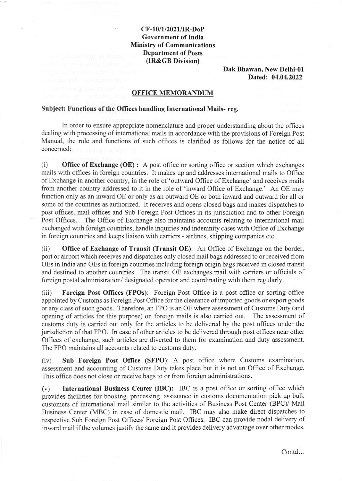## CF-10/1/2021/IR-DoP Government of India Ministry of Communications Department of Posts (IR&GB Division)

Dak Bhawan, New Delhi-0l Dated: 04.04.2022

## OFFICE MEMORANDUM

## Subject: Functions of the Offices handling International Mails-reg.

In order to ensure appropriate nomenclatire and proper understanding about the offices dealing with processing of international mails in accordance with the provisions of Foreign Post Manual, the role and functions of such offices is clarified as follows for the notice of all concemed:

 $(i)$  Office of Exchange (OE) : A post office or sorting office or section which exchanges mails with offices in foreign countries. It makes up and addresses intemational mails to Office of Exchange in another country, in the role of 'outward Office of Exchange' and receives mails from another country addressed to it in the role of 'inward Office of Exchange.' An OE may function only as an inward OE or only as an outward OE or both inward and outward for all or some of the countries as authorized. It receives and opens closed bags and makes dispatches to post offices, mail offices and Sub Foreign Post Offices in its jurisdiction and to other Foreign Post Offices. The Office of Exchange also maintains accounts relating to international mail exchanged with foreign countries, handle inquiries and indemnity cases with Office of Exchange in foreign countries and keeps liaison with carriers - airlines, shipping companies etc.

(ii) Office of Exchange of Transit (Transit OE): An Office of Exchange on the border, port or airport which receives and dispatches only closed maiI bags addressed to or received from OEs in India and OEs in foreign countries including foreign origin bags received in closed transit and destined to another countries. The transit OE exchanges mail with carriers or officials of foreign postal administration/ designated operator and coordinating with them regularly.

(iii) Foreign Post Offices (FPOs): Foreign Post Office is a post office or sorting office appointed by Customs as Foreign Post Office for the clearance of imported goods or export goods or any class of such goods. Therefore, an FPO is an OE where assessment of Customs Duty (and opening of articles for this purpose) on foreign mails is also carried out. The assessment of customs duty is carried out only for the articles to be delivered by the post offices under the jurisdiction of that FPO. In case of other articles to be delivered through post offices near other Offices of exchange, such articles are diverted to them for examination and duty assessment. The FPO maintains all accounts related to customs duty.

(iv) Sub Foreign Post Office (SFPO): A post office where Customs examination, assessment and accounting of Customs Duty takes place but it is not an Office of Exchange. This office does not close or receive bags to or from foreign administrations.

(v) International Business Center (IBC): IBC is a post office or sorting office which provides facilities for booking, processing, assistance in customs documentation pick up bulk customers of international mail similar to the activities of Business Post Center (BPC)/ Mail Business Center (MBC) in case of domestic mail. IBC may also make direct dispatches to respective Sub Foreign Post Offices/ Foreign Post Offices. IBC can provide nodal delivery of inward mail if the volumes justify the same and it provides delivery advantage over other modes.